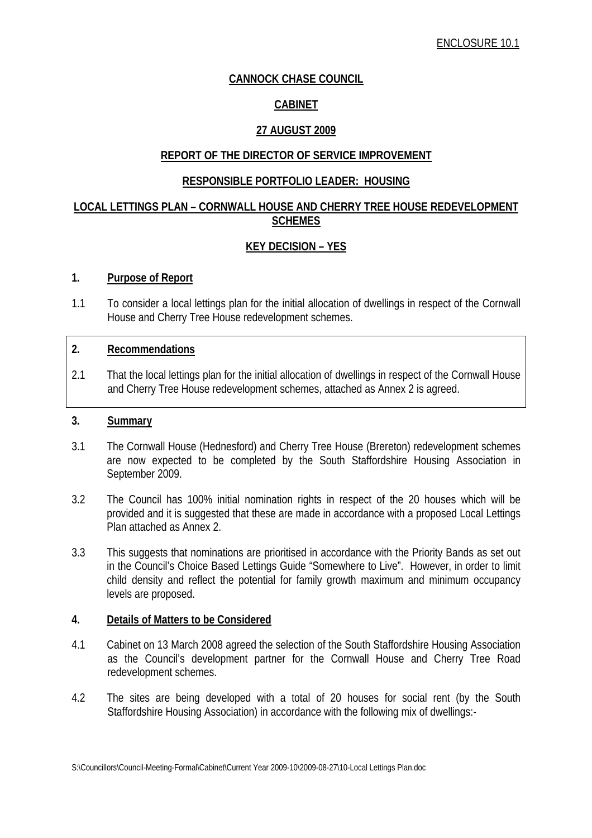# **CANNOCK CHASE COUNCIL**

# **CABINET**

# **27 AUGUST 2009**

# **REPORT OF THE DIRECTOR OF SERVICE IMPROVEMENT**

# **RESPONSIBLE PORTFOLIO LEADER: HOUSING**

# **LOCAL LETTINGS PLAN – CORNWALL HOUSE AND CHERRY TREE HOUSE REDEVELOPMENT SCHEMES**

# **KEY DECISION – YES**

### **1. Purpose of Report**

1.1 To consider a local lettings plan for the initial allocation of dwellings in respect of the Cornwall House and Cherry Tree House redevelopment schemes.

# **2. Recommendations**

2.1 That the local lettings plan for the initial allocation of dwellings in respect of the Cornwall House and Cherry Tree House redevelopment schemes, attached as Annex 2 is agreed.

#### **3. Summary**

- 3.1 The Cornwall House (Hednesford) and Cherry Tree House (Brereton) redevelopment schemes are now expected to be completed by the South Staffordshire Housing Association in September 2009.
- 3.2 The Council has 100% initial nomination rights in respect of the 20 houses which will be provided and it is suggested that these are made in accordance with a proposed Local Lettings Plan attached as Annex 2.
- 3.3 This suggests that nominations are prioritised in accordance with the Priority Bands as set out in the Council's Choice Based Lettings Guide "Somewhere to Live". However, in order to limit child density and reflect the potential for family growth maximum and minimum occupancy levels are proposed.

#### **4. Details of Matters to be Considered**

- 4.1 Cabinet on 13 March 2008 agreed the selection of the South Staffordshire Housing Association as the Council's development partner for the Cornwall House and Cherry Tree Road redevelopment schemes.
- 4.2 The sites are being developed with a total of 20 houses for social rent (by the South Staffordshire Housing Association) in accordance with the following mix of dwellings:-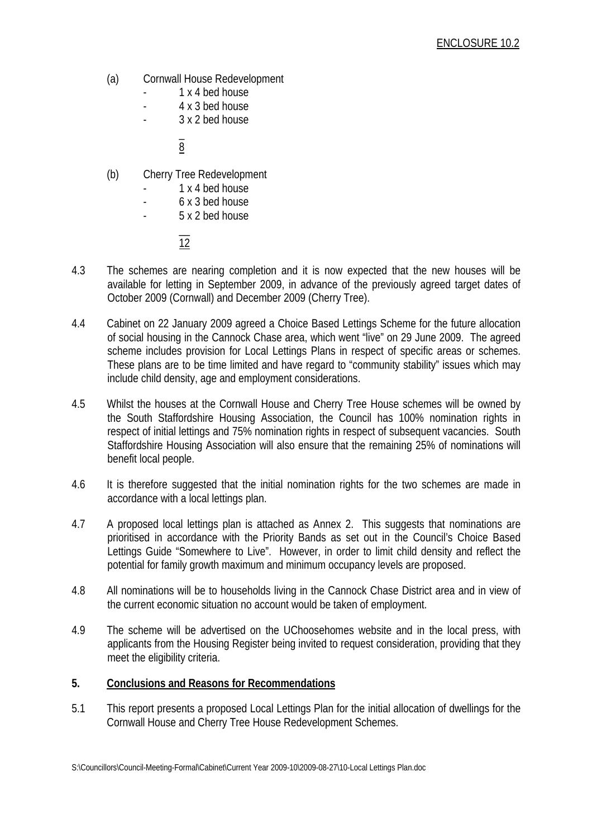- (a) Cornwall House Redevelopment
	- 1 x 4 bed house
	- 4 x 3 bed house
	- 3 x 2 bed house

 $\mathcal{L} = \mathcal{L} \times \mathcal{L}$ 8 and 3 and 3 and 3 and 3 and 3 and 3 and 3 and 3 and 3 and 3 and 3 and 3 and 3 and 3 and 3 and 3 and 3 and 3

- (b) Cherry Tree Redevelopment
	- 1 x 4 bed house
		- 6 x 3 bed house
	- 5 x 2 bed house

 $\mathcal{L}=\mathcal{L}^{\mathcal{L}}$ 12

- 4.3 The schemes are nearing completion and it is now expected that the new houses will be available for letting in September 2009, in advance of the previously agreed target dates of October 2009 (Cornwall) and December 2009 (Cherry Tree).
- 4.4 Cabinet on 22 January 2009 agreed a Choice Based Lettings Scheme for the future allocation of social housing in the Cannock Chase area, which went "live" on 29 June 2009. The agreed scheme includes provision for Local Lettings Plans in respect of specific areas or schemes. These plans are to be time limited and have regard to "community stability" issues which may include child density, age and employment considerations.
- 4.5 Whilst the houses at the Cornwall House and Cherry Tree House schemes will be owned by the South Staffordshire Housing Association, the Council has 100% nomination rights in respect of initial lettings and 75% nomination rights in respect of subsequent vacancies. South Staffordshire Housing Association will also ensure that the remaining 25% of nominations will benefit local people.
- 4.6 It is therefore suggested that the initial nomination rights for the two schemes are made in accordance with a local lettings plan.
- 4.7 A proposed local lettings plan is attached as Annex 2. This suggests that nominations are prioritised in accordance with the Priority Bands as set out in the Council's Choice Based Lettings Guide "Somewhere to Live". However, in order to limit child density and reflect the potential for family growth maximum and minimum occupancy levels are proposed.
- 4.8 All nominations will be to households living in the Cannock Chase District area and in view of the current economic situation no account would be taken of employment.
- 4.9 The scheme will be advertised on the UChoosehomes website and in the local press, with applicants from the Housing Register being invited to request consideration, providing that they meet the eligibility criteria.

# **5. Conclusions and Reasons for Recommendations**

5.1 This report presents a proposed Local Lettings Plan for the initial allocation of dwellings for the Cornwall House and Cherry Tree House Redevelopment Schemes.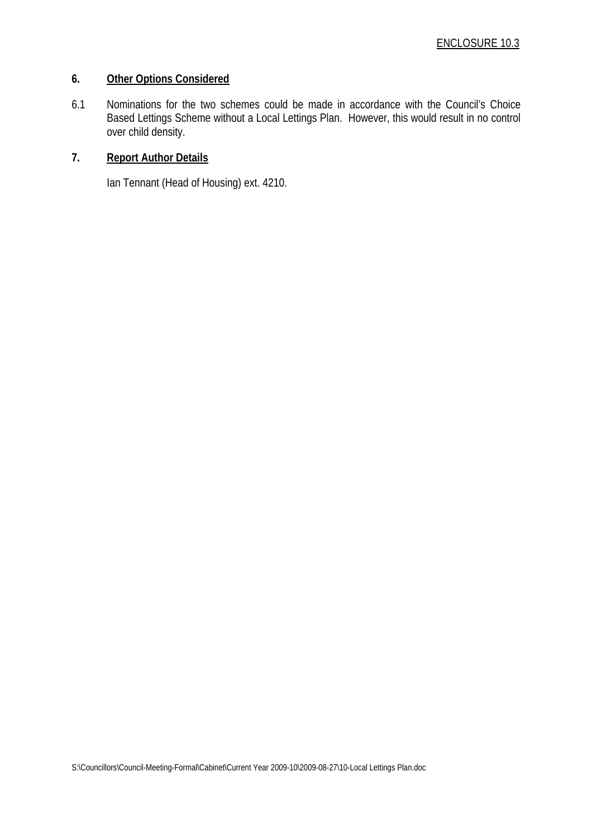# **6. Other Options Considered**

6.1 Nominations for the two schemes could be made in accordance with the Council's Choice Based Lettings Scheme without a Local Lettings Plan. However, this would result in no control over child density.

#### **7. Report Author Details**

Ian Tennant (Head of Housing) ext. 4210.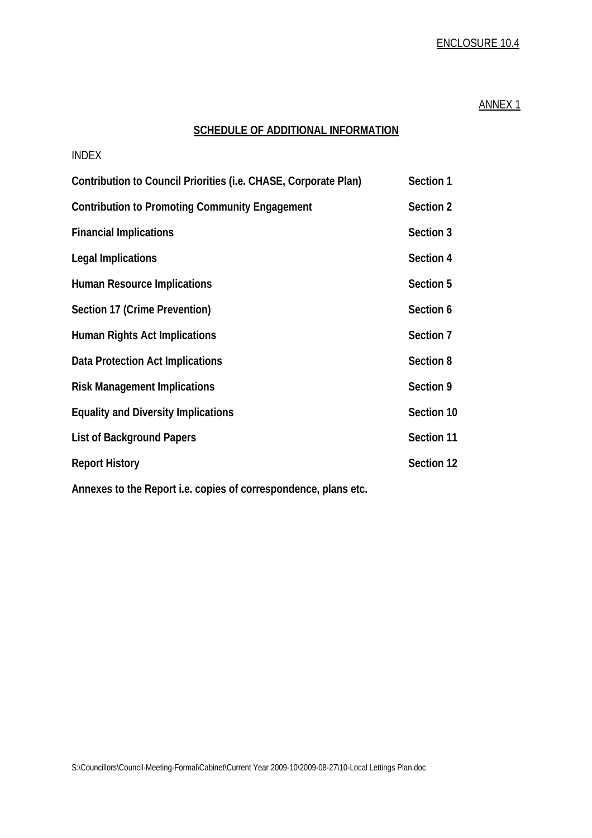# ENCLOSURE 10.4

#### ANNEX 1

# **SCHEDULE OF ADDITIONAL INFORMATION**

| <b>INDEX</b>                                                    |            |
|-----------------------------------------------------------------|------------|
| Contribution to Council Priorities (i.e. CHASE, Corporate Plan) | Section 1  |
| <b>Contribution to Promoting Community Engagement</b>           | Section 2  |
| <b>Financial Implications</b>                                   | Section 3  |
| <b>Legal Implications</b>                                       | Section 4  |
| <b>Human Resource Implications</b>                              | Section 5  |
| Section 17 (Crime Prevention)                                   | Section 6  |
| <b>Human Rights Act Implications</b>                            | Section 7  |
| Data Protection Act Implications                                | Section 8  |
| <b>Risk Management Implications</b>                             | Section 9  |
| <b>Equality and Diversity Implications</b>                      | Section 10 |
| <b>List of Background Papers</b>                                | Section 11 |
| <b>Report History</b>                                           | Section 12 |
| Annexes to the Deport i.e. copies of correspondence plans etc.  |            |

**Annexes to the Report i.e. copies of correspondence, plans etc.**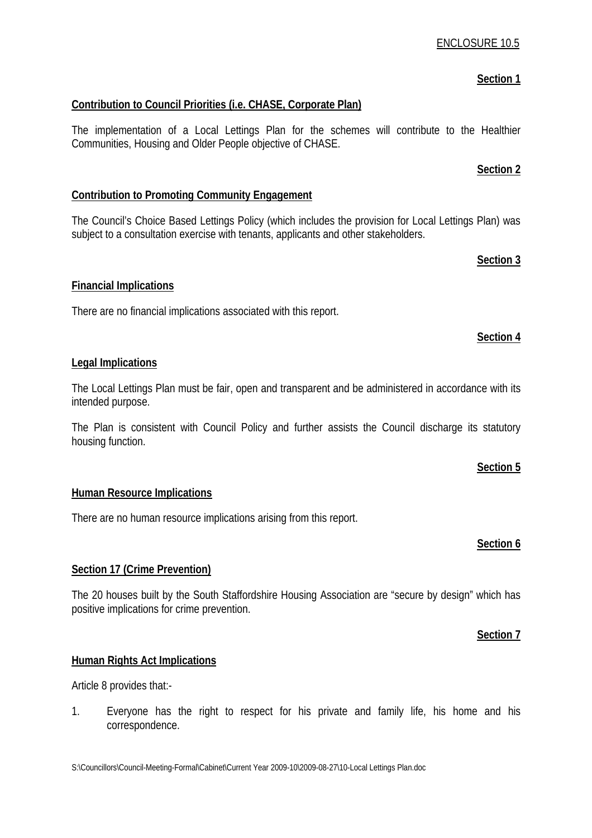# ENCLOSURE 10.5

# **Section 1**

# **Contribution to Council Priorities (i.e. CHASE, Corporate Plan)**

The implementation of a Local Lettings Plan for the schemes will contribute to the Healthier Communities, Housing and Older People objective of CHASE.

# **Contribution to Promoting Community Engagement**

The Council's Choice Based Lettings Policy (which includes the provision for Local Lettings Plan) was subject to a consultation exercise with tenants, applicants and other stakeholders.

#### **Financial Implications**

There are no financial implications associated with this report.

#### **Legal Implications**

The Local Lettings Plan must be fair, open and transparent and be administered in accordance with its intended purpose.

The Plan is consistent with Council Policy and further assists the Council discharge its statutory housing function.

#### **Human Resource Implications**

There are no human resource implications arising from this report.

# **Section 17 (Crime Prevention)**

The 20 houses built by the South Staffordshire Housing Association are "secure by design" which has positive implications for crime prevention.

#### **Section 7**

#### **Human Rights Act Implications**

Article 8 provides that:-

1. Everyone has the right to respect for his private and family life, his home and his correspondence.

# **Section 6**

**Section 5**

# **Section 2**

# **Section 4**

**Section 3**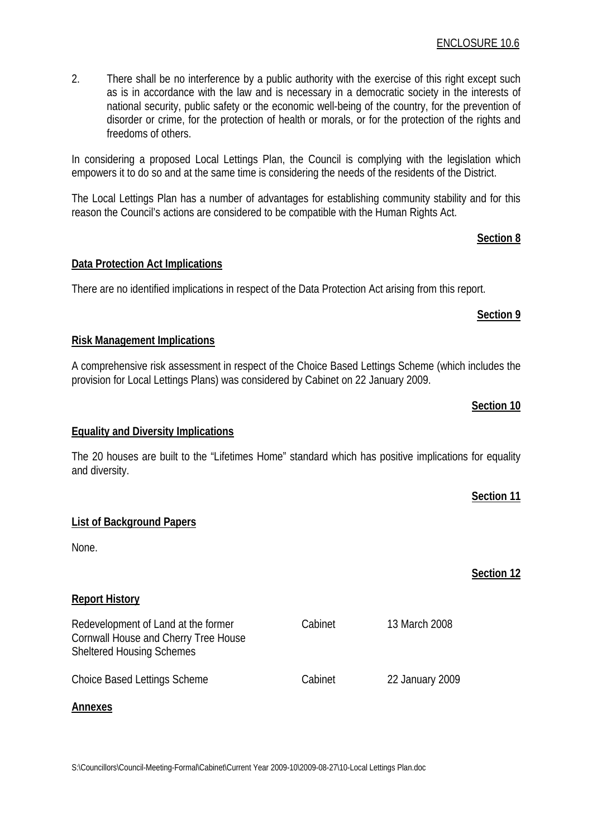2. There shall be no interference by a public authority with the exercise of this right except such as is in accordance with the law and is necessary in a democratic society in the interests of national security, public safety or the economic well-being of the country, for the prevention of disorder or crime, for the protection of health or morals, or for the protection of the rights and freedoms of others.

In considering a proposed Local Lettings Plan, the Council is complying with the legislation which empowers it to do so and at the same time is considering the needs of the residents of the District.

The Local Lettings Plan has a number of advantages for establishing community stability and for this reason the Council's actions are considered to be compatible with the Human Rights Act.

# **Section 8**

# **Data Protection Act Implications**

There are no identified implications in respect of the Data Protection Act arising from this report.

# **Section 9**

**Section 10**

**Section 11**

**Section 12**

# **Risk Management Implications**

A comprehensive risk assessment in respect of the Choice Based Lettings Scheme (which includes the provision for Local Lettings Plans) was considered by Cabinet on 22 January 2009.

# **Equality and Diversity Implications**

The 20 houses are built to the "Lifetimes Home" standard which has positive implications for equality and diversity.

Cabinet 13 March 2008

# **List of Background Papers**

None.

# **Report History**

Redevelopment of Land at the former Cornwall House and Cherry Tree House Sheltered Housing Schemes

Choice Based Lettings Scheme Cabinet 22 January 2009

# **Annexes**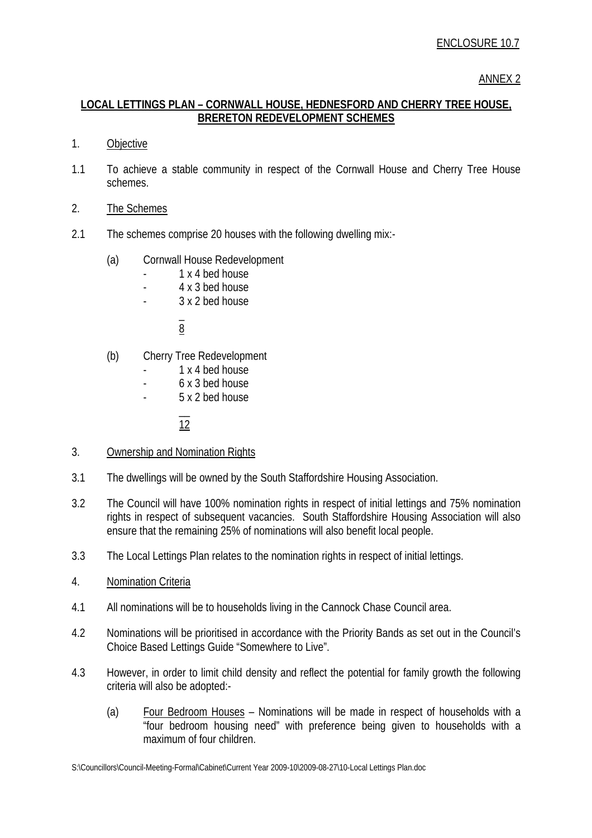#### ANNEX 2

# **LOCAL LETTINGS PLAN – CORNWALL HOUSE, HEDNESFORD AND CHERRY TREE HOUSE, BRERETON REDEVELOPMENT SCHEMES**

- 1. Objective
- 1.1 To achieve a stable community in respect of the Cornwall House and Cherry Tree House schemes.
- 2. The Schemes
- 2.1 The schemes comprise 20 houses with the following dwelling mix:-
	- (a) Cornwall House Redevelopment
		- 1 x 4 bed house
		- 4 x 3 bed house
		- 3 x 2 bed house

 $\mathcal{L} = \mathcal{L} \times \mathcal{L}$ 8 and 3 and 3 and 3 and 3 and 3 and 3 and 3 and 3 and 3 and 3 and 3 and 3 and 3 and 3 and 3 and 3 and 3 and 3

- (b) Cherry Tree Redevelopment
	- 1 x 4 bed house
	- 6 x 3 bed house
	- 5 x 2 bed house

 $\mathcal{L}=\mathcal{L}^{\mathcal{L}}$ 12

- 3. Ownership and Nomination Rights
- 3.1 The dwellings will be owned by the South Staffordshire Housing Association.
- 3.2 The Council will have 100% nomination rights in respect of initial lettings and 75% nomination rights in respect of subsequent vacancies. South Staffordshire Housing Association will also ensure that the remaining 25% of nominations will also benefit local people.
- 3.3 The Local Lettings Plan relates to the nomination rights in respect of initial lettings.
- 4. Nomination Criteria
- 4.1 All nominations will be to households living in the Cannock Chase Council area.
- 4.2 Nominations will be prioritised in accordance with the Priority Bands as set out in the Council's Choice Based Lettings Guide "Somewhere to Live".
- 4.3 However, in order to limit child density and reflect the potential for family growth the following criteria will also be adopted:-
	- (a) Four Bedroom Houses Nominations will be made in respect of households with a "four bedroom housing need" with preference being given to households with a maximum of four children.

S:\Councillors\Council-Meeting-Formal\Cabinet\Current Year 2009-10\2009-08-27\10-Local Lettings Plan.doc